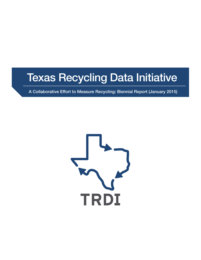# Texas Recycling Data Initiative

A Collaborative Effort to Measure Recycling: Biennial Report (January 2015)

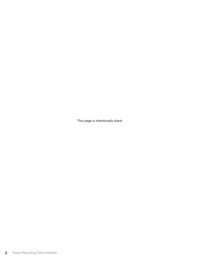This page is intentionally blank.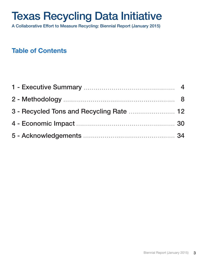# Texas Recycling Data Initiative

A Collaborative Effort to Measure Recycling: Biennial Report (January 2015)

## Table of Contents

| 3 - Recycled Tons and Recycling Rate  12 |  |
|------------------------------------------|--|
|                                          |  |
|                                          |  |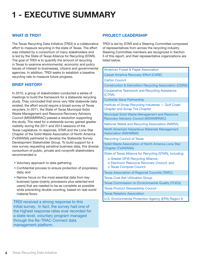# 1 - EXECUTIVE SUMMARY

## WHAT IS TRDI?

The Texas Recycling Data Initiative (TRDI) is a collaborative effort to measure recycling in the state of Texas. The effort was initiated by a consortium of many stakeholders and is led by the State of Texas Alliance for Recycling (STAR). The goal of TRDI is to quantify the amount of recycling in Texas to examine environmental, economic and policy issues of interest to businesses, citizens and governmental agencies. In addition, TRDI seeks to establish a baseline recycling rate to measure future progress.

## BRIEF HISTORY

In 2010, a group of stakeholders conducted a series of meetings to build the framework for a statewide recycling study. They concluded that since very little statewide data existed, the effort would require a broad survey of Texas recyclers. In 2011, the State of Texas Municipal Solid Waste Management and Resource Recovery Advisory Council (MSWMRRAC) passed a resolution supporting the study. The need for a statewide survey gained greater visibility during the 2011 and 2013 sessions of the Texas Legislature. In response, STAR and the Lone Star Chapter of the Solid Waste Association of North America (TxSWANA) partnered to develop the Statewide Survey Development Stakeholder Group. To build support for a new survey requesting sensitive business data, this diverse consortium of public, private and nonprofit stakeholders recommended a:

- Voluntary approach to data gathering;
- Confidential process to ensure protection of proprietary data; and
- Narrow focus on the most essential data from key business types (mainly processors plus selected end users) that are needed to be as complete as possible while preventing double counting, based on real-world material flows

TRDI received a strong response to this initial survey. In fact, the survey had one of the highest response rates ever recorded for a state-level, voluntary program managed through the Re-TRAC Connect data management platform.

## PROJECT LEADERSHIP

TRDI is led by STAR and a Steering Committee composed of representatives from across the recycling industry. Steering Committee members are recognized in Section 5 of this report, and their representative organizations are listed below.

| зI | <b>American Forest &amp; Paper Association</b>                                                              |
|----|-------------------------------------------------------------------------------------------------------------|
|    | <b>Carpet America Recovery Effort (CARE)</b>                                                                |
|    | <b>Carton Council</b>                                                                                       |
|    | <b>Construction &amp; Demolition Recycling Association (CDRA)</b>                                           |
|    | <b>Cooperative Teamwork and Recycling Assistance</b><br>(CTRA)                                              |
|    | <b>Curbside Value Partnership</b>                                                                           |
|    | Institute of Scrap Recycling Industries - Gulf Coast<br><b>Chapter and Scrap Tire Chapter</b>               |
|    | Municipal Solid Waste Management and Resource<br><b>Recovery Advisory Council (MSWMRRAC)</b>                |
|    | National Waste and Recycling Association (NWRA)                                                             |
|    | North American Hazardous Materials Management<br><b>Association (NAHMMA)</b>                                |
|    | <b>Recycling Council of Texas</b>                                                                           |
| è  | Solid Waste Association of North America Lone Star<br><b>Chapter (TxSWANA)</b>                              |
|    | State of Texas Alliance for Recycling (STAR), including:                                                    |
| ý  | o Greater DFW Recycling Alliance,<br>o Electronic Resource Recovery Council, and<br>o Texas Compost Council |
|    | <b>Texas Association of Regional Councils (TARC)</b>                                                        |
|    | <b>Texas Coal Ash Utilization Group</b>                                                                     |
|    | Texas Commission on Environmental Quality (TCEQ)                                                            |
|    | <b>Texas Product Stewardship Council</b>                                                                    |
|    | <b>Texas Retailers Association</b>                                                                          |
|    | U.S. Environmental Protection Agency (EPA) Region 6                                                         |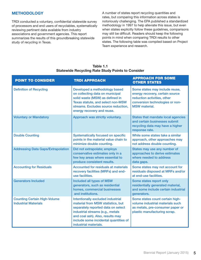## **METHODOLOGY**

TRDI conducted a voluntary, confidential statewide survey of processors and end users of recyclables, systematically reviewing pertinent data available from industry associations and government agencies. This report summarizes the results of this groundbreaking statewide study of recycling in Texas.

A number of states report recycling quantities and rates, but comparing this information across states is notoriously challenging. The EPA published a standardized methodology in 1997 to help alleviate this issue, but even when states explicitly follow these guidelines, comparisons may still be difficult. Readers should keep the following points in mind when comparing TRDI results to other states. The following table was compiled based on Project Team experience and research.

| <b>POINT TO CONSIDER</b>                                           | <b>TRDI APPROACH</b>                                                                                                                                                                                                                                   | <b>APPROACH FOR SOME</b><br><b>OTHER STATES</b>                                                                                                             |
|--------------------------------------------------------------------|--------------------------------------------------------------------------------------------------------------------------------------------------------------------------------------------------------------------------------------------------------|-------------------------------------------------------------------------------------------------------------------------------------------------------------|
| <b>Definition of Recycling</b>                                     | Developed a methodology based<br>on collecting data on municipal<br>solid waste (MSW) as defined in<br>Texas statute, and select non-MSW<br>streams. Excludes source reduction,<br>energy recovery and reuse.                                          | Some states may include reuse,<br>energy recovery, certain source<br>reduction activities, other<br>conversion technologies or non-<br><b>MSW</b> material. |
| <b>Voluntary or Mandatory</b>                                      | Approach was strictly voluntary.                                                                                                                                                                                                                       | <b>States that mandate local agencies</b><br>and certain businesses submit<br>recycling data may have a higher<br>response rate.                            |
| <b>Double Counting</b>                                             | <b>Systematically focused on specific</b><br>points in the material value chain to<br>minimize double counting.                                                                                                                                        | While some states take a similar<br>approach, other approaches may<br>not address double counting.                                                          |
| <b>Addressing Data Gaps/Extrapolation</b>                          | Did not extrapolate; employs<br>conservative estimates only in a<br>few key areas where essential to<br>produce consistent results.                                                                                                                    | States may use any number of<br>approaches to derive estimates<br>where needed to address<br>data gaps.                                                     |
| <b>Accounting for Residuals</b>                                    | <b>Accounted for residuals at materials</b><br>recovery facilities (MRFs) and end-<br>use facilities.                                                                                                                                                  | Some states may not account for<br>residuals disposed at MRFs and/or<br>at end-use facilities.                                                              |
| <b>Generators Included</b>                                         | Included all types of MSW<br>generators, such as residential<br>homes, commercial businesses<br>and institutions.                                                                                                                                      | Some states report only<br>residentially generated material,<br>and some include certain industrial<br>generators.                                          |
| <b>Counting Certain High-Volume</b><br><b>Industrial Materials</b> | Intentionally excluded industrial<br>material from MSW statistics, but<br>separately reported data on select<br>industrial streams (e.g., metals<br>and coal ash). Also, results may<br>include some incidental quantities of<br>industrial materials. | Some states count certain high-<br>volume industrial materials such<br>as metals, pre-consumer paper or<br>plastic manufacturing scrap.                     |

## Table 1.1 Statewide Recycling Rate Study Points to Consider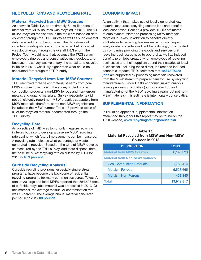## RECYCLED TONS AND RECYCLING RATE

## Material Recycled from MSW Sources

As shown in Table 1.2, approximately 6.1 million tons of material from MSW sources was recycled in 2013. The 6.1 million recycled tons shown in the table are based on data collected through the TRDI survey as well as supplemental data received from other sources. The data does not include any extrapolation of tons recycled but only what was documented through the overall TRDI effort. The Project Team would note that, because the TRDI survey employed a rigorous and conservative methodology, and because the survey was voluntary, the actual tons recycled in Texas in 2013 was likely higher than what could be accounted for through the TRDI study.

## Material Recycled from Non-MSW Sources

TRDI identifed three select material streams from non-MSW sources to include in the survey, including coal combustion products, non-MSW ferrous and non-ferrous metals, and organic materials. Survey respondents did not consistently report non-MSW organics separately from MSW materials; therefore, some non-MSW organics are included in the MSW number. Table 1.3 provides totals of all of the recycled material documented through the TRDI survey.

## Recycling Rate

An objective of TRDI was to not only measure recycling in Texas but also to develop a baseline MSW recycling rate against which future improvements can be measured. A recycling rate indicates what percentage of waste generated is recycled. Based on the tons of MSW recycled as measured by the TRDI survey, and state disposal data, the baseline MSW recycling rate calculated by TRDI for 2013 is 18.9 percent.

## Curbside Recycling Analysis

Curbside recycling programs, especially single-stream programs, have become the backbone of residential recycling programs for many communities across Texas. A total of 20 large and local MRFs reported that 554,598 tons of curbside recyclable material was processed in 2013. Of this material, the average residual or contamination rate was 13 percent. The average annual material generated per household is 503 pounds.

## ECONOMIC IMPACT

As an activity that makes use of locally generated raw material resources, recycling creates jobs and benefits local economies. Section 4 provides TRDI's estimates of employment related to processing MSW materials recycled in Texas. In addition to benefits directly attributable to recycling businesses, economic impact analysis also considers indirect benefits (e.g., jobs created by companies providing the goods and services that recycling businesses need to operate) as well as induced benefits (e.g., jobs created when employees of recycling businesses and their suppliers spend their salaries at local businesses). Including these direct, indirect and induced economic impacts, TRDI estimates that 12,678 Texas jobs are supported by processing materials recovered from the MSW stream to prepare them for use by recycling manufacturers. Since TRDI's economic impact analysis covers processing activities (but not collection and manufacturing) of the MSW recycling stream (but not non-MSW materials), this estimate is intentionally conservative.

## SUPPLEMENTAL INFORMATION

In lieu of an appendix, supplemental information referenced throughout this report may be found on the TRDI website, www.recyclingstar.org/cause/trdi.

## Table 1.3 Material Recycled from MSW and Non-MSW Sources in 2013

| <b>DESCRIPTION</b>                   | TONS       |
|--------------------------------------|------------|
| <b>Material from MSW Sources</b>     | 6,143,393  |
| <b>Material from Non-MSW Sources</b> |            |
| <b>Coal Combustion Products</b>      | 1,789,414  |
| Metals - Ferrous                     | 5,528,665  |
| Metals - Non-Ferrous                 | 458,345    |
| <b>Total</b>                         | 13,919,817 |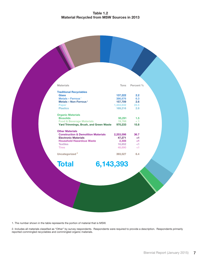Table 1.2 Material Recycled from MSW Sources in 2013



1. The number shown in the table represents the portion of material that is MSW.

2. Includes all materials classifed as "Other" by survey respondents. Respondents were required to provide a description. Respondents primarily reported commingled recyclables and commingled organic materials.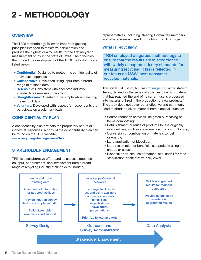# 2 - METHODOLOGY

## **OVERVIEW**

The TRDI methodology followed important guiding principles intended to maximize participation and produce the highest quality results for the first recycling measurement study in the state of Texas. The principles that guided the development of the TRDI methodology are listed below.

- Confidential: Designed to protect the confidentiality of individual responses
- Collaborative: Developed using input from a broad range of stakeholders
- Defensible: Consistent with accepted industry standards for measuring recycling
- Straightforward: Created to be simple while collecting meaningful data
- Voluntary: Developed with respect for respondents that participate on a voluntary basis End-Users & HHW Facilities

## CONFIDENTIALITY PLAN

A confidentiality plan protects the proprietary nature of individual responses. A copy of the confidentiality plan can be found on the TRDI website, ty plan pro

www.recyclingstar.org/cause/trdi.

## STAKEHOLDER ENGAGEMENT

TRDI is a collaborative effort, and its success depends on input, endorsement, and involvement from a broad range of recycling industry stakeholders, Industry

representatives, including Steering Committee members and others, were engaged throughout the TRDI project.

## What is recycling?

TRDI employed a rigorous methodology to ensure that the results are in accordance with widely accepted industry standards for measuring recycling. This is reflected in our focus on MSW, post-consumer recycled materials.

This initial TRDI study focuses on recycling in the state of Texas, defned as the series of activities by which material that has reached the end of its current use is processed into material utilized in the production of new products.<sup>1</sup> The study does not cover other effective and commonly used methods to divert material from disposal, such as:

- · Source reduction activities like green purchasing or home composting;  $\mathcal{C}$   $\mathcal{C}$  +  $\mathcal{C}$ 
	- of Refurbishment or reuse of products for the originally intended use, such as consumer electronics or clothing;
		- Conversion or combustion of materials to fuel or energy;
- Land application of biosolids;
	- Land reclamation or beneficial use projects using tire shreds or bales; or
	- Disposal or on-site use of material at a landfill for road s success depends stabilization or alternative daily cover.

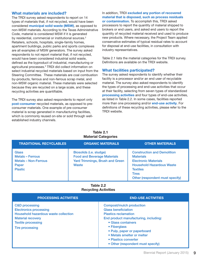## What materials are included?

The TRDI survey asked respondents to report on 14 types of materials that, if not recycled, would have been considered municipal solid waste (MSW), as opposed to non-MSW materials. According to the Texas Administrative Code, material is considered MSW if it is generated by residential, commercial or institutional sources.<sup>2</sup> Retailers, schools, hospitals, single-family homes, apartment buildings, public parks and sports complexes are all examples of MSW generators. The survey asked respondents to not report material that, if not recycled, would have been considered industrial solid waste, defined as the byproduct of industrial, manufacturing or agricultural processes.<sup>3</sup> TRDI did collect information on select industrial recycled materials based on input from the Steering Committee. These materials are coal combustion by-products, ferrous and non-ferrous scrap metal, and non-MSW organic material. These materials were selected because they are recycled on a large scale, and these recycling activities are quantifable.

The TRDI survey also asked respondents to report only post-consumer recycled materials, as opposed to preconsumer materials. One example of pre-consumer material is scrap generated in manufacturing facilities, which is commonly reused on-site or sold through wellestablished industry channels.

In addition, TRDI excluded any portion of recovered material that is disposed, such as process residuals or contamination. To accomplish this, TRDI asked processors to report the quantity of material shipped to brokers or end users, and asked end users to report the quantity of recycled material received and used to produce new products. Where necessary, the Project Team applied conservative estimates of typical residual rates to account for disposal at end-use facilities, in consultation with industry representatives.

Table 2.1 lists the material categories for the TRDI survey. Definitions are available on the TRDI website.

## What facilities participated?

The survey asked respondents to identify whether their facility is a processor and/or an end user of recyclable material. The survey also asked respondents to identify the types of processing and end-use activities that occur at their facility, selecting from seven types of standardized processing activities and four types of end-use activities, as listed in Table 2.2. In some cases, facilities reported more than one processing and/or **end-use activity**. For definitions of these recycling activities, please refer to the TRDI website.

## Table 2.1 Material Categories

| <b>TRADITIONAL RECYCLABLES</b>                                                             | <b>ORGANIC MATERIALS</b>                                                                                         | <b>OTHER MATERIALS</b>                                                                                                                                                                          |
|--------------------------------------------------------------------------------------------|------------------------------------------------------------------------------------------------------------------|-------------------------------------------------------------------------------------------------------------------------------------------------------------------------------------------------|
| Glass<br><b>Metals - Ferrous</b><br><b>Metals - Non-Ferrous</b><br>Paper<br><b>Plastic</b> | Biosolids (i.e. sludge)<br><b>Food and Beverage Materials</b><br><b>Yard Trimmings, Brush and Green</b><br>Waste | <b>Construction and Demolition</b><br><b>Materials</b><br><b>Electronic Materials</b><br><b>Household Hazardous Waste</b><br><b>Textiles</b><br><b>Tires</b><br>Other (respondent must specify) |

### Table 2.2 Recycling Activities

| <b>PROCESSING ACTIVITIES</b>                                                                                                                                                          | <b>END-USE ACTIVITIES</b>                                                                                                                                                                                                                                                                             |
|---------------------------------------------------------------------------------------------------------------------------------------------------------------------------------------|-------------------------------------------------------------------------------------------------------------------------------------------------------------------------------------------------------------------------------------------------------------------------------------------------------|
| <b>C&amp;D processing</b><br><b>Electronics processing</b><br>Household hazardous waste collection<br><b>Material recovery</b><br><b>Textile processing</b><br><b>Tire processing</b> | <b>Compost/mulch production</b><br><b>Glass beneficiation</b><br><b>Plastics reclamation</b><br>End product manufacturing, including:<br>• Glass containers<br>• Fiberglass<br>• Pulp, paper or paperboard<br>• Metals smelter or melter<br>• Plastics converter<br>• Other (respondent must specify) |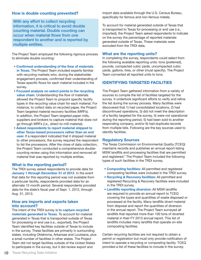## How is double counting prevented?

With any effort to collect recycling information, it is critical to avoid double counting material. Double counting can occur when material flows from one respondent to another and is reported by multiple entities.

The Project Team employed the following rigorous process to eliminate double counting:

- Confirmed understanding of the flow of materials in Texas. The Project Team included experts familiar with recycling markets who, during the stakeholder engagement process, confirmed their understanding of Texas-specific flows for each material included in the survey.
- Focused analysis on select points in the recycling value chain. Understanding the flow of materials allowed the Project Team to pinpoint specific facility types in the recycling value chain for each material. For instance, to collect data on recycled paper, the Project Team targeted material recovery facilities (MRFs). In addition, the Project Team targeted paper mills, suppliers and brokers to capture material that does not go through MRFs (i.e., direct-to-mill material).
- Asked respondents to report material shipped to other Texas-based processors rather than an end user. If a respondent indicated that it shipped material to other processors, the survey required the respondent to list the processors. After the close of data collection, the Project Team conducted a comprehensive doublecounting review using this information and removed all material that was reported by multiple entities.

## What is the reporting period?

The TRDI survey asked respondents to provide data for January 1 through December 31 of 2013. In the event that data for this reporting period was not available from a particular facility, respondents provided data for an alternate 12-month period. Several respondents provided data for the state's fiscal year of Sept. 1, 2012, through Aug. 31, 2013.

## How are imports and exports taken into account?

The intent of the TRDI survey is to capture recycled materials generated in Texas. To account for material generated in Texas that is transported outside of Texas for processing or end use (i.e., exported), the Project Team identifed key facilities outside of Texas to include in the survey. These facilities are primarily in surrounding states, including Oklahoma, Arkansas and Louisiana, plus a small number of facilities in other states. The Project Team did not target facilities outside of the United States to participate in the survey, but it did review export and

import data available through the U.S. Census Bureau, specifically for ferrous and non-ferrous metals.

To account for material generated outside of Texas that is transported to Texas for processing or end use (i.e., imported), the Project Team asked respondents to indicate on the survey the percentage of reported materials generated outside of Texas. These materials were excluded from the TRDI data.

## What are the reporting units?

In completing the survey, respondents could select from the following available reporting units: tons (preferred), pounds, compacted cubic yards, uncompacted cubic yards, gallons, tires, or other (must specify). The Project Team converted all reported units to tons.

## IDENTIFYING TARGETED FACILITIES

The Project Team gathered information from a variety of sources to compile the list of facilities targeted for the survey. It undertook significant efforts to verify and refine the list during the survey process. Many facilities were discovered that 1) had consolidated locations, 2) had discontinued operations, 3) did not meet the description of a facility targeted for the survey, 4) were not operational during the reporting period, 5) had been sold to another responding company, and/or 6) had duplicate records from multiple lists. Following are the key sources used to identify facilities.

## Regulatory Sources

The Texas Commission on Environmental Quality (TCEQ) maintains records and publishes an annual report listing MSW landflls and processing facilities that are permitted and registered.<sup>4</sup> The Project Team included the following types of such facilities in the TRDI survey.

- Composting facilities: All permitted and registered composting facilities were included in the TRDI survey.
- Recycling & Recovery facilities: All permitted and registered Recycling & Recovery facilities were included in the TRDI survey.
- Landfills reporting diversion: All MSW landfills are required to provide an annual report to TCEQ covering the types and quantities of waste disposed or processed at the facility. Many landflls divert material from disposal and report the quantities of diversion in the annual report. The Project Team surveyed all landflls that reported more than 100 tons of diverted material in their FY 2013 annual report. This list of landfills includes many landfills that operate on-site composting facilities.

Certain recycling facilities are not required to obtain a permit or registration but must only provide notification of intent to operate a recycling or composting facility. TCEQ provided a list of these facilities to include in the survey.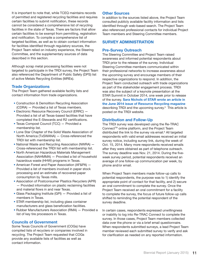It is important to note that, while TCEQ maintains records of permitted and registered recycling facilities and requires certain facilities to submit notification, these records cannot be considered a comprehensive list of recycling facilities in the state of Texas. There are factors that allow certain facilities to be exempt from permitting, registration and notifcation. To compile a comprehensive list of targeted facilities, as well as to obtain contact information for facilities identifed through regulatory sources, the Project Team relied on industry experience, the Steering Committee, and the supplementary sources of data described in this section.

Although scrap metal processing facilities were not targeted to participate in the TRDI survey, the Project Team also referenced the Department of Public Safety (DPS) list of active Metals Recycling Entities (MREs).

## Trade Organizations

The Project Team gathered available facility lists and contact information from trade organizations.

- Construction & Demolition Recycling Association (CDRA) — Provided a list of Texas members.
- Electronic Resource Recovery Council (ERRC) Provided a list of all Texas-based facilities that have completed the E-Stewards and R2 certifcations.
- Texas Compost Council (TCC) Provided a membership list.
- Lone Star Chapter of the Solid Waste Association of North America (TxSWANA) — Cross-referenced the TRDI list with membership list.
- National Waste and Recycling Association (NWRA) Cross-referenced the TRDI list with membership list.
- North American Hazardous Materials Management Association (NAHMMA) — Provided a list of household hazardous waste (HHW) programs in Texas.
- American Forest and Paper Association (AF&PA) Provided a list of members involved in paper stock processing and an estimate of recovered paper consumption by Texas mills.
- Association of Postconsumer Plastics Recyclers (APR) — Provided information on plastic reclaiming facilities and material flows in and near Texas.
- Glass Packaging Institute (GPI) Provided a list of members in Texas.
- STAR membership list, including glass container manufacturers and glass beneficiation facilities.
- Rubber Manufacturers Association (RMA) Provided a list of key tire processors in Texas.

## Councils of Government

Some Texas Councils of Government (COGs) have compiled lists of recyclers or companies involved in recycling. The Project Team requested that COGs provide any available lists of facilities as well as contact information.

## Other Sources

In addition to the sources listed above, the Project Team consulted publicly available facility information and lists identifed through web-based search. The Project Team also referenced professional contacts for individual Project Team members and Steering Committee members.

## SURVEY ADMINISTRATION

## Pre-Survey Outreach

The Steering Committee and Project Team raised awareness and informed potential respondents about TRDI prior to the release of the survey. Individual Steering Committee members communicated within their professional networks to increase awareness about the upcoming survey and encourage members of their respective organizations to respond. In addition, the Project Team conducted outreach with trade organizations as part of the stakeholder engagement process. TRDI was also the subject of a keynote presentation at the STAR Summit in October 2014, one week prior to release of the survey. Sara Nichols of STAR wrote an article in the June 2014 issue of Resource Recycling magazine describing TRDI and the upcoming survey.<sup>5</sup> This article is posted on the TRDI website.

## Distribution and Follow-Up

The TRDI survey was developed using the Re-TRAC Connect™ online platform, and the Project Team distributed the link to the survey via email.<sup>6</sup> All targeted respondents with valid email addresses received an initial survey notice, including survey link, during the week of Oct. 15, 2014. Many more respondents received emails after they were obtained as part of telephone outreach. The survey deadline was Nov. 21, 2014. During the fiveweek survey period, potential respondents received an average of one follow-up communication per week, by phone and/or email.

When Project Team members made follow-up calls to potential respondents, the purpose was to 1) identify the appropriate point of contact for that facility, and 2) secure an oral commitment to complete the survey. Once the Project Team received an oral commitment for a facility to complete the survey, the focus of future follow-up calls shifted to reminding the potential respondent of the survey deadline.

In certain cases, respondents expressed unwillingness or inability to log into Re-TRAC Connect to complete the survey. In those cases, Project Team members collected data over the phone or via a brief email questionnaire. When respondents submitted surveys, a lead Project Team member reviewed each submitted survey to verify and ask for clarification as needed on any reported information.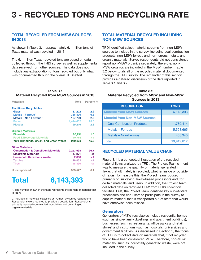# 3 - RECYCLED TONS AND RECYCLING RATE

## TOTAL RECYCLED FROM MSW SOURCES IN 2013

As shown in Table 3.1, approximately 6.1 million tons of Texas material was recycled in 2013.

The 6.1 million Texas-recycled tons are based on data collected through the TRDI survey as well as supplemental data received from other sources. The data does not include any extrapolation of tons recycled but only what was documented through the overall TRDI effort.

## TOTAL MATERIAL RECYCLED INCLUDING NON-MSW SOURCES

TRDI identifed select material streams from non-MSW sources to include in the survey, including coal combustion products, non-MSW ferrous and non-ferrous metals, and organic materials. Survey respondents did not consistently report non-MSW organics separately; therefore, non-MSW organics are included in the MSW number. Table 3.2 below totals all of the recycled material documented through the TRDI survey. The remainder of this section provides a detailed discussion of the data reported in Table 3.1 and 3.2.

### Table 3.2 Material Recycled from MSW and Non-MSW Sources in 2013

| <b>DESCRIPTION</b>                   | <b>TONS</b> |
|--------------------------------------|-------------|
| <b>Material from MSW Sources</b>     | 6,143,393   |
| <b>Material from Non-MSW Sources</b> |             |
| <b>Coal Combustion Products</b>      | 1,789,414   |
| Metals - Ferrous                     | 5,528,665   |
| Metals - Non-Ferrous                 | 458,345     |
| <b>otal</b>                          | 13,919,817  |

## RECYCLED MATERIAL VALUE CHAIN

Figure 3.1 is a conceptual illustration of the recycled material flows analyzed by TRDI. The Project Team's intent was to measure the quantity of material generated in Texas that ultimately is recycled, whether inside or outside of Texas. To measure this, the Project Team focused primarily on surveying Texas-based processors and, for certain materials, end users. In addition, the Project Team collected data on recycled HHW from HHW collection facilities. Last, the Project Team identifed key out-of-state processors and end users to participate in the survey to capture material that is transported out of state that would have otherwise been missed.

## **Generators**

Generators of MSW recyclables include residential homes (such as single-family dwellings and apartment buildings), businesses (such as restaurants, office parks and retail stores) and institutions (such as hospitals, universities and government facilities). As discussed in Section 2, the focus of TRDI is to collect data on materials that, if not recycled, would have been considered MSW. Therefore, non-MSW materials, such as industrially generated waste, were not included in the survey.

## Table 3.1 Material Recycled from MSW Sources in 2013

| <b>Materials</b>                               | Tons           | Percent % |
|------------------------------------------------|----------------|-----------|
| <b>Traditional Recyclables</b>                 |                |           |
| <b>Glass</b>                                   | 137,222        | 2.2       |
| Metals - Ferrous <sup>1</sup>                  | 386,876        | 6.3       |
| Metals - Non-Ferrous <sup>1</sup>              | 157,709        | 2.6       |
| Paper                                          | 1,444,632 23.5 |           |
| <b>Plastics</b>                                | 169,216        | 2.8       |
| <b>Organic Materials</b>                       |                |           |
| <b>Biosolids</b>                               | 95,291         | 1.5       |
| <b>Food &amp; Beverage Materials</b>           | 19,768         | $\leq$ 1  |
| Yard Trimmings, Brush, and Green Waste         | 970,233        | 15.8      |
| <b>Other Materials</b>                         |                |           |
| <b>Construction &amp; Demolition Materials</b> | 2,253,598      | 36.7      |
| <b>Electronic Materials</b>                    | 47,271         | <1        |
| <b>Household Hazardous Waste</b>               | 2,308          | اح        |
| <b>Textiles</b>                                | 16,852         | $<$ 1     |
| <b>Tires</b>                                   | 48,890         | <1        |
| Uncategorized <sup>2</sup>                     | 393,527        | 6.4       |
|                                                |                |           |



1. The number shown in the table represents the portion of material that is MSW.

2. Includes all materials classifed as "Other" by survey respondents. Respondents were required to provide a description. Respondents primarily reported commingled recyclables and commingled organic materials.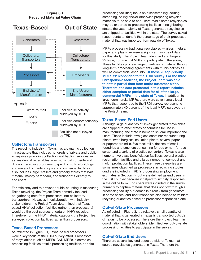## Figure 3.1 Recycled Material Value Chain

## **Texas-Based** Out of State States, the vast r



## Legend:



Facilities selectively surveyed by TRDI

Facilities comprehensively surveyed by TRDI

Facilities not surveyed by TRDI

## Collectors/Transporters

The recycling industry in Texas has a dynamic collection infrastructure that includes hundreds of private and public enterprises providing collection and hauling services such as: residential recyclables from municipal curbside and drop-off recycling programs; paper from office buildings; and metals from auto shops and commercial facilities. It also includes large retailers and grocery stores that bale material, mostly cardboard, and transport it directly to end users.

For efficiency and to prevent double-counting in measuring Texas recycling, the Project Team primarily focused on gathering data from processors, not collectors/ transporters. However, in collaboration with industry stakeholders, the Project Team determined that Texasbased HHW collection facilities (rather than processors) would be the best sources of data on HHW recycled. Therefore, for the HHW material category, the Project Team surveyed collection facilities rather than processors.

## Texas-Based Processors

As reflected in Figure 3.1, Texas-based processors were a key focus of the TRDI survey effort. Processors of recyclables (such as MRFs, C&D MRFs, electronics processing facilities, textile processing facilities, and tire

processing facilities) focus on disassembling, sorting, shredding, baling and/or otherwise preparing recycled materials to be sold to end users. While some recyclables may be exported to processing facilities in neighboring states, the vast majority of Texas-generated recyclables are shipped to facilities within the state. The survey asked respondents to identify the percentage of their processed material that was imported from outside of Texas.

MRFs processing traditional recyclables — glass, metals, paper and plastic - were a significant source of data for this study. The Project Team identified and targeted 25 large, commercial MRFs to participate in the survey. These facilities process large quantities of material through long-term processing agreements with municipalities as well as commercial accounts. Of these 25 top-priority MRFs, 22 responded to the TRDI survey. For the three unresponsive facilities, the Project Team was able to obtain partial data from major customer cities. Therefore, the data presented in this report includes either complete or partial data for all of the large, commercial MRFs in the state of Texas. In addition to large, commercial MRFs, there were seven small, local MRFs that responded to the TRDI survey, representing approximately 40 percent of the local MRFs surveyed by the Project Team.

## Texas-Based End Users

Although large quantities of Texas-generated recyclables are shipped to other states or countries for use in manufacturing, the state is home to several important end users. These include: two glass container manufacturing plants, two fiberglass insulation plants, several paper or paperboard mills, fve steel mills, dozens of small foundries and smelters consuming ferrous or non-ferrous scrap, and a variety of plastics converters. Texas is also home to two glass beneficiation facilities, several plastics reclamation facilities and a large number of compost and mulch production facilities. These three categories are sometimes classifed as processors in recycling studies (and are included in TRDI's processing employment estimates in Section 4), but were defned as end users in the TRDI survey because it helped to simplify responses in the online form. End users were included in the survey primarily to capture material that does not flow through a processing facility but comes in directly from generators. In some cases, end-user responses also helped to validate recycling quantities based on processor responses alone.

## Out-of-State Processors

As reflected in Figure 3.1, a relatively small quantity of material that is generated in Texas is transported outside of Texas to be processed. Therefore the Project Team, in coordination with stakeholders, identifed key out-of-state processing facilities to participate in the survey.

## Out-of-State End Users

There are several key end users outside of Texas that source recyclables generated in Texas. Therefore the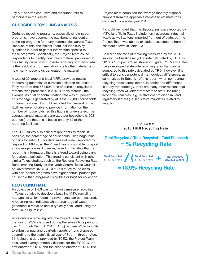key out-of-state end users and manufacturers to participate in the survey.

## CURBSIDE RECYCLING ANALYSIS

Curbside recycling programs, especially single-stream programs, have become the backbone of residential recycling programs for many communities across Texas. Because of this, the Project Team included survey questions in order to gather information specific to these programs. Specifically, the Project Team asked respondents to identify how much material processed at their facility came from curbside recycling programs, what is the residual or contamination rate for the material, and how many households generated the material.

A total of 20 large and local MRFs provided details concerning quantities of curbside collected materials. They reported that 554,598 tons of curbside recyclable material was processed in 2013. Of this material, the average residual or contamination rate was 13 percent. This tonnage is generated by at least 900,000 households in Texas; however, it should be noted that several of the facilities were not able to provide information on the number of households, so this figure is understated. The average annual material generated per household is 503 pounds (note that this is based on only 12 of the reporting facilities)

The TRDI survey also asked respondents to report, if possible, the percentage of households using bags, bins or carts for set-out. This data was not widely reported by responding MRFs, so the Project Team is not able to report any average fgures. However, based on facilities that did report this information, there is a trend toward using carts for curbside collection. This trend is consistent with other similar Texas studies, such as the Regional Recycling Rate Benchmarking Study for the North Central Texas Council of Governments (NCTCOG).<sup>13</sup> This study found cities with cart-based programs have higher annual pounds per household than programs using bins or bags for collection.

## RECYCLING RATE

An objective of TRDI was to not only measure recycling in Texas but also to develop a baseline MSW recycling rate against which future improvements can be measured. A recycling rate indicates what percentage of waste generated is recycled and is typically calculated using the formula in Figure 3.2.

To calculate a recycling rate, the Project Team determined the tons of MSW disposed during the survey time period of Jan. 1 through Dec. 31, 2013. TCEQ requires MSW landflls to submit annual and quarterly reports of tons disposed according to the state's fiscal year of Sept. 1 through Aug. 31. Using this data provided by TCEQ, the Project Team calculated average monthly disposal for the FY 2013, the first quarter of 2014, and the second quarter of 2014. The

Project Team combined the average monthly disposal numbers from the applicable months to estimate tons disposed in calendar year 2013.

It should be noted that the disposal numbers reported by MSW landflls in Texas include non-hazardous industrial waste as well as tons imported from out of state, but the Project Team was able to exclude these streams from the estimate shown in Table 3.3.

Based on the tons of recycling measured by the TRDI survey, the baseline recycling rate calculated by TRDI for 2013 is 18.9 percent, as shown in Figure 3.2. Many states have developed statewide recycling rates that can be compared to this rate calculated by TRDI; however, it is critical to consider potential methodology differences, as summarized in Table 1.1 of this report, when comparing recycling rates across states. In addition to differences in study methodology, there are many other reasons that recycling rates will differ from state to state, including economic variables (e.g. relative cost of disposal) and regulatory factors (i.e. legislative mandates related to recycling).

## Figure 3.2 2013 TRDI Recycling Rate

## Total Recycled / (Total Recycled + Total Disposed) = % Recycling Rate



## = 18.9% Recycling Rate

| <b>Description</b>               | Tons      |  |
|----------------------------------|-----------|--|
| <b>Material from MSW Sources</b> | 6,143,393 |  |
| <b>Non-MSW Sources</b>           |           |  |
| <b>Coal Combustion Products</b>  | 1,789,414 |  |
| <b>Metals - Ferrous</b>          | 5,528,665 |  |
| <b>Metals - Non-Ferrous</b>      | 458,345   |  |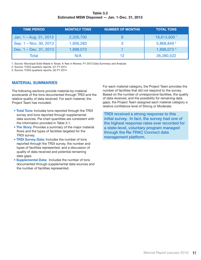Table 3.3 Estimated MSW Disposed — Jan. 1-Dec. 31, 2013

| <b>TIME PERIOD</b>       | <b>MONTHLY TONS</b> | <b>NUMBER OF MONTHS</b> | <b>TOTAL TONS</b>      |
|--------------------------|---------------------|-------------------------|------------------------|
| Jan. $1 - Aug. 31, 2013$ | 2,326,700           |                         | 18,613,600 1           |
| Sep. 1 – Nov. 30, 2013   | 1,956,283           | 3                       | 5,868,849 <sup>2</sup> |
| Dec. 1 – Dec. 31, 2013   | 1,898,073           |                         | 1,898,073 3            |
| Total                    | N/A                 | 12                      | 26,380,522             |

1. Source: Municipal Solid Waste in Texas: A Year in Review, FY 2013 Data Summary and Analysis

2. Source: TCEQ quarterly reports, Q1 FY 2014

3. Source: TCEQ quarterly reports, Q2 FY 2014

## MATERIAL SUMMARIES

The following sections provide material-by-material scorecards of the tons documented through TRDI and the relative quality of data received. For each material, the Project Team has included:

- Total Tons: Includes tons reported through the TRDI survey and tons reported through supplemental data sources. Pie chart quantities are consistent with the information provided in Table 3.1.
- The Story: Provides a summary of the major material flows and the types of facilities targeted for the TRDI survey.
- TRDI Survey Data: Includes the number of tons reported through the TRDI survey, the number and types of facilities represented, and a discussion of quality of data received and potential remaining data gaps.
- Supplemental Data: Includes the number of tons documented through supplemental data sources and the number of facilities represented.

For each material category, the Project Team provides the number of facilities that did not respond to the survey. Based on the number of unresponsive facilities, the quality of data received, and the possibility for remaining data gaps, the Project Team assigned each material category a relative confidence level of Strong or Moderate.

TRDI received a strong response to this initial survey. In fact, the survey had one of the highest response rates ever recorded for a state-level, voluntary program managed through the Re-TRAC Connect data management platform.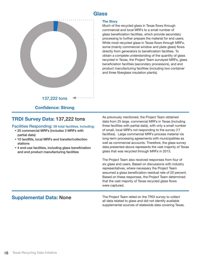## Glass



### The Story

Much of the recycled glass in Texas flows through commercial and local MRFs to a small number of glass beneficiation facilities, which provide secondary processing to further prepare the material for end users. While most recycled glass in Texas flows through MRFs, some (mainly commercial window and plate glass) flows directly from generators to beneficiation facilities. To obtain a complete understanding of the quantity of glass recycled in Texas, the Project Team surveyed MRFs, glass beneficiation facilities (secondary processors), and end product manufacturing facilities (including two container and three fiberglass insulation plants).

Confidence: Strong

Facilities Responding: 39 total facilities, including:

- 25 commercial MRFs (includes 3 MRFs with partial data)
- 10 landfills, local MRFs and transfer/collection stations
- 4 end-use facilities, including glass beneficiation and end product manufacturing facilities

TRDI Survey Data: 137,222 tons<br>As previously mentioned, the Project Team obtained data from 25 large, commercial MRFs in Texas (including three facilities with partial data), with only a small number of small, local MRFs not responding to the survey (17 facilities). Large commercial MRFs process material via long-term processing agreements with municipalities as well as commercial accounts. Therefore, the glass survey data presented above represents the vast majority of Texas glass that was recycled through MRFs in 2013.

> The Project Team also received responses from four of six glass end users. Based on discussions with industry representatives, where necessary the Project Team assumed a glass beneficiation residual rate of 20 percent. Based on these responses, the Project Team determined that the vast majority of Texas recycled glass flows were captured.

**Supplemental Data: None** The Project Team relied on the TRDI survey to collect all data related to glass and did not identify available supplemental sources of statewide data covering Texas.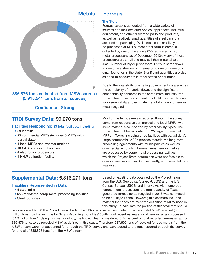## Metals — Ferrous



## 386,876 tons estimated from MSW sources (5,915,541 tons from all sources)

## Confidence: Strong

## Facilities Responding: 83 total facilities, including:

- 39 landfills
- 25 commercial MRFs (includes 3 MRFs with partial data)
- 4 local MRFs and transfer stations
- 10 C&D processing facilities
- 4 electronics processors
- 1 HHW collection facility

## The Story

Ferrous scrap is generated from a wide variety of sources and includes auto bodies, appliances, industrial equipment, and other discarded parts and products, as well as relatively small quantities of steel cans that are used as packaging. While steel cans are likely to be processed at MRFs, most other ferrous scrap is collected by one of the state's 655 registered scrap metal processors (as of December 2013). Many of these processors are small and may sell their material to a small number of larger processors. Ferrous scrap flows to one of five steel mills in Texas or to one of numerous small foundries in the state. Significant quantities are also shipped to consumers in other states or countries.

Due to the availability of existing government data sources, the complexity of material fows, and the signifcant confdentiality concerns in the scrap metal industry, the Project Team used a combination of TRDI survey data and supplemental data to estimate the total amount of ferrous metal recycled.

**TRDI Survey Data: 99,270 tons** Most of the ferrous metals reported through the survey came from responsive commercial and local MRFs, with some material also reported by other facility types. The Project Team obtained data from 25 large commercial MRFs in Texas (including three facilities with partial data). Large commercial MRFs process material via long-term processing agreements with municipalities as well as commercial accounts. However, most ferrous metals are processed by scrap metal processing facilities, which the Project Team determined were not feasible to comprehensively survey. Consequently, supplemental data was used.

## Supplemental Data: 5,816,271 tons Based on existing data obtained by the Project Team

## Facilities Represented in Data

- 5 steel mills
- 655 registered scrap metal processing facilities
- Steel foundries

from the U.S. Geological Survey (USGS) and the U.S. Census Bureau (USCB) and interviews with numerous ferrous metal processors, the total quantity of Texasgenerated ferrous scrap recycled in 2013 was estimated to be 5,915,541 tons. However, this estimate includes material that does not meet the definition of MSW used in this study. To calculate the portion of this total that should

be considered MSW, the Project Team divided the EPA's most recent estimate for ferrous metal MSW recycled (5.55 million tons7 ) by the Institute for Scrap Recycling Industries' (ISRI) most recent estimate for all ferrous scrap processed (84.9 million tons<sup>8</sup>). Using this methodology, the Project Team considered 6.54 percent of total recycled ferrous scrap, or 386,876 tons, to be recycled MSW as defned in this study. Therefore, 287,606 tons of recycled ferrous metals from the MSW stream were not accounted for through the TRDI survey and were added to the tons reported through the survey for a total of 386,876 tons from the MSW stream.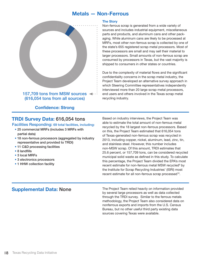## Metals — Non-Ferrous



## Confidence: Strong

Facilities Responding: 69 total facilities, including:

- 25 commercial MRFs (includes 3 MRFs with partial data)
- 18 non-ferrous processors (aggregated by industry representative and provided to TRDI)
- 11 C&D processing facilities
- 8 landfills
- 3 local MRFs
- 3 electronics processors
- 1 HHW collection facility

## The Story

Non-ferrous scrap is generated from a wide variety of sources and includes industrial equipment, miscellaneous parts and products, and aluminum cans and other packaging. While aluminum cans are likely to be processed at MRFs, most other non-ferrous scrap is collected by one of the state's 655 registered scrap metal processors. Most of these processors are small and may sell their material to larger processors. Small amounts of non-ferrous scrap are consumed by processors in Texas, but the vast majority is shipped to consumers in other states or countries.

Due to the complexity of material flows and the significant confdentiality concerns in the scrap metal industry, the Project Team developed an alternative survey approach in which Steering Committee representatives independently interviewed more than 20 large scrap metal processors, end users and others involved in the Texas scrap metal recycling industry.

**TRDI Survey Data: 616,054 tons** Based on industry interviews, the Project Team was able to estimate the total amount of non-ferrous metal recycled by the 18 largest non-ferrous processors. Based on this, the Project Team estimated that 616,054 tons of Texas-generated non-ferrous scrap was recycled in 2013, including copper, nickel, aluminum, lead, zinc, tin, and stainless steel. However, this number includes non-MSW scrap. Of this amount, TRDI estimates that 25.6 percent, or 157,709 tons, can be considered recycled municipal solid waste as defned in this study. To calculate this percentage, the Project Team divided the EPA's most recent estimate for non-ferrous metal MSW recycled<sup>9</sup> by the Institute for Scrap Recycling Industries' (ISRI) most recent estimate for all non-ferrous scrap processed<sup>10</sup>.

**Supplemental Data: None** The Project Team relied heavily on information provided by several large processors as well as data collected through the TRDI survey. Similar to the ferrous metals methodology, the Project Team also considered data on nonferrous exports and imports from the U.S. Census Bureau, but no other useful third party existing data sources covering Texas were available.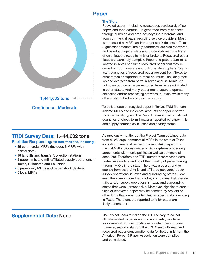## Paper



## Facilities Responding: 60 total facilities, including:

- 25 commercial MRFs (includes 3 MRFs with partial data)
- 16 landfills and transfer/collection stations
- 9 paper mills and mill-affiliated supply operations in Texas, Oklahoma and Louisiana
- 5 paper-only MRFs and paper stock dealers
- 5 local MRFs

## The Story

Recycled paper – including newspaper, cardboard, office paper, and food cartons – is generated from residences through curbside and drop-off recycling programs, and from commercial paper recycling service providers. Most is processed at MRFs and/or paper stock dealers in Texas. Signifcant amounts (mainly cardboard) are also recovered and baled at large retailers and grocery stores, which are often shipped directly to mills or brokers. Recovered paper flows are extremely complex. Paper and paperboard mills located in Texas consume recovered paper that they receive from both in-state and out-of-state suppliers. Significant quantities of recovered paper are sent from Texas to other states or exported to other countries, including Mexico and overseas from ports in Texas and California. An unknown portion of paper exported from Texas originated in other states. And many paper manufacturers operate collection and/or processing activities in Texas, while many others rely on brokers to procure supply.

To collect data on recycled paper in Texas, TRDI first considered MRFs and incidental amounts of paper reported by other facility types. The Project Team added significant quantities of direct-to-mill material reported by paper mills and supply companies in Texas and nearby states.

**TRDI Survey Data: 1,444,632 tons** As previously mentioned, the Project Team obtained data from all 25 large, commercial MRFs in the state of Texas (including three facilities with partial data). Large commercial MRFs process material via long-term processing agreements with municipalities as well as commercial accounts. Therefore, the TRDI numbers represent a comprehensive understanding of the quantity of paper flowing through MRFs in the state. There was also a strong response from several mills and affliated recovered paper supply operations in Texas and surrounding states. However, there were more than six key companies that operate mills and/or supply operations in Texas and surrounding states that were unresponsive. Moreover, significant quantities of recovered paper may be handled by brokers or other firms that were not identified as specifically operating in Texas. Therefore, the reported tons for paper are likely understated.

**Supplemental Data: None** The Project Team relied on the TRDI survey to collect all data related to paper and did not identify available supplemental sources of statewide data covering Texas. However, export data from the U.S. Census Bureau and recovered paper consumption data for Texas mills from the American Forest & Paper Association were compiled and considered.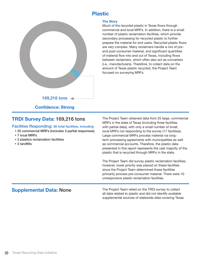## Plastic



## The Story

Much of the recycled plastic in Texas flows through commercial and local MRFs. In addition, there is a small number of plastic reclamation facilities, which provide secondary processing for recycled plastic to further prepare the material for end users. Recycled plastic flows are very complex. Many reclaimers handle a mix of preand post-consumer material, and significant quantities of material flow into and out of Texas, including flows between reclaimers, which often also act as converters (i.e., manufacturers). Therefore, to collect data on the amount of Texas plastic recycled, the Project Team focused on surveying MRFs.

Confidence: Strong

## Facilities Responding: 36 total facilities, including

- 25 commercial MRFs (includes 3 partial responses)
- 7 local MRFs
- 2 plastics reclamation facilities
- 2 landfills

**TRDI Survey Data: 169,216 tons** The Project Team obtained data from 25 large, commercial MRFs in the state of Texas (including three facilities with partial data), with only a small number of small, local MRFs not responding to the survey (17 facilities). Large commercial MRFs process material via longterm processing agreements with municipalities as well as commercial accounts. Therefore, the plastic data presented in this report represents the vast majority of the plastic that is recycled through MRFs in the state.

> The Project Team did survey plastic reclamation facilities; however, lower priority was placed on these facilities since the Project Team determined these facilities primarily process pre-consumer material. There were 10 unresponsive plastic reclamation facilities.

**Supplemental Data: None** The Project Team relied on the TRDI survey to collect all data related to plastic and did not identify available supplemental sources of statewide data covering Texas.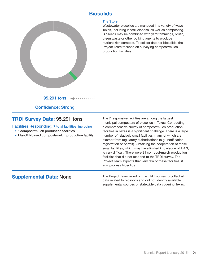## **Biosolids**



## The Story

Wastewater biosolids are managed in a variety of ways in Texas, including landfill disposal as well as composting. Biosolids may be combined with yard trimmings, brush, green waste or other bulking agents to produce nutrient-rich compost. To collect data for biosolids, the Project Team focused on surveying compost/mulch production facilities.

Confidence: Strong

## TRDI Survey Data: 95,291 tons

Facilities Responding: 7 total facilities, including

- 6 compost/mulch production facilities
- 1 landfill-based compost/mulch production facility

The 7 responsive facilities are among the largest municipal composters of biosolids in Texas. Conducting a comprehensive survey of compost/mulch production facilities in Texas is a significant challenge. There is a large number of relatively small facilities, many of which are exempt from regulatory authorizations (e.g., notification, registration or permit). Obtaining the cooperation of these small facilities, which may have limited knowledge of TRDI, is very difficult. There were 81 compost/mulch production facilities that did not respond to the TRDI survey. The Project Team expects that very few of these facilities, if any, process biosolids.

**Supplemental Data: None** The Project Team relied on the TRDI survey to collect all data related to biosolids and did not identify available supplemental sources of statewide data covering Texas.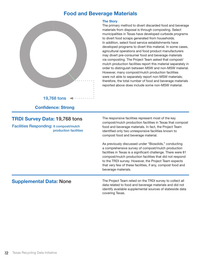## Food and Beverage Materials



## The Story

The primary method to divert discarded food and beverage materials from disposal is through composting. Select municipalities in Texas have developed curbside programs to divert food scraps generated from households. In addition, select food service establishments have developed programs to divert this material. In some cases, agricultural operations and food product manufacturers may divert pre-consumer food and beverage materials via composting. The Project Team asked that compost/ mulch production facilities report this material separately in order to distinguish between MSW and non-MSW material. However, many compost/mulch production facilities were not able to separately report non-MSW materials; therefore, the total number of food and beverage materials reported above does include some non-MSW material.

## Confidence: Strong

Facilities Responding: 6 compost/mulch production facilities

**TRDI Survey Data: 19,768 tons** The responsive facilities represent most of the key compost/mulch production facilities in Texas that compost food and beverage materials. In fact, the Project Team identifed only two unresponsive facilities known to compost food and beverage material.

> As previously discussed under "Biosolids," conducting a comprehensive survey of compost/mulch production facilities in Texas is a significant challenge. There were 81 compost/mulch production facilities that did not respond to the TRDI survey. However, the Project Team expects that very few of these facilities, if any, compost food and beverage materials.

**Supplemental Data: None** The Project Team relied on the TRDI survey to collect all data related to food and beverage materials and did not identify available supplemental sources of statewide data covering Texas.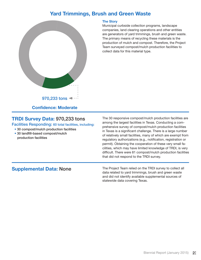## Yard Trimmings, Brush and Green Waste



### The Story

Municipal curbside collection programs, landscape companies, land clearing operations and other entities are generators of yard trimmings, brush and green waste. The primary means of recycling these materials is the production of mulch and compost. Therefore, the Project Team surveyed compost/mulch production facilities to collect data for this material type.

Confidence: Moderate

Facilities Responding: 60 total facilities, including:

- 30 compost/mulch production facilities
- 30 landfill-based compost/mulch production facilities

**TRDI Survey Data:** 970,233 tons The 30 responsive compost/mulch production facilities are among the largest facilities in Texas. Conducting a comprehensive survey of compost/mulch production facilities in Texas is a significant challenge. There is a large number of relatively small facilities, many of which are exempt from regulatory authorizations (e.g., notifcation, registration or permit). Obtaining the cooperation of these very small facilities, which may have limited knowledge of TRDI, is very difficult. There were 81 compost/mulch production facilities that did not respond to the TRDI survey.

**Supplemental Data: None** The Project Team relied on the TRDI survey to collect all data related to yard trimmings, brush and green waste and did not identify available supplemental sources of statewide data covering Texas.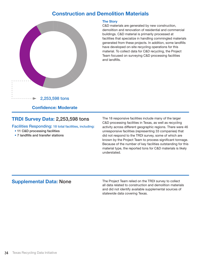## Construction and Demolition Materials



## The Story

C&D materials are generated by new construction, demolition and renovation of residential and commercial buildings. C&D material is primarily processed at facilities that specialize in handling commingled materials generated from these projects. In addition, some landflls have developed on-site recycling operations for this material. To collect data for C&D recycling, the Project Team focused on surveying C&D processing facilities and landflls.

## Confidence: Moderate

Facilities Responding: 18 total facilities, including:

- 11 C&D processing facilities
- 7 landfills and transfer stations

**TRDI Survey Data:** 2,253,598 tons The 18 responsive facilities include many of the larger C&D processing facilities in Texas, as well as recycling activity across different geographic regions. There were 46 unresponsive facilities (representing 33 companies) that did not respond to the TRDI survey, some of which are known by the Project Team to process significant tonnage. Because of the number of key facilities outstanding for this material type, the reported tons for C&D materials is likely understated.

**Supplemental Data: None** The Project Team relied on the TRDI survey to collect all data related to construction and demolition materials and did not identify available supplemental sources of statewide data covering Texas.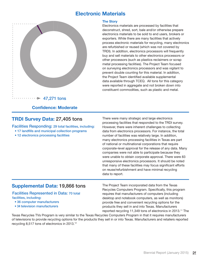## Electronic Materials



Confidence: Moderate

## **TRDI Survey Data: 27,405 tons** There were many strategic and large electronics

Facilities Responding: 29 total facilities, including:

- 17 landfills and municipal collection programs
- 12 electronics processing facilities

### The Story

Electronics materials are processed by facilities that deconstruct, shred, sort, bale and/or otherwise prepare electronics materials to be sold to end users, brokers or exporters. While there are many facilities that actively process electronic materials for recycling, many electronics are refurbished or reused (which was not covered by TRDI). In addition, electronics processors will frequently buy and sell materials to other electronics processors or other processors (such as plastics reclaimers or scrap metal processing facilities). The Project Team focused on surveying electronics processors and was vigilant to prevent double counting for this material. In addition, the Project Team identifed available supplemental data available through TCEQ. All tons for this category were reported in aggregate and not broken down into constituent commodities, such as plastic and metal.

processing facilities that responded to the TRDI survey. However, there were inherent challenges to collecting data from electronics processors. For instance, the total number of facilities was relatively large. In addition, many electronics processing facilities in Texas are part of national or multinational corporations that require corporate-level approval for the release of any data. Many companies were not able to participate because they were unable to obtain corporate approval. There were 83 unresponsive electronics processors. It should be noted that many of these facilities may focus significant efforts on reuse/refurbishment and have minimal recycling data to report.

## Facilities Represented in Data: 70 total facilities, including:

- 36 computer manufacturers
- 34 television manufacturers

Supplemental Data: 19,866 tons The Project Team incorporated data from the Texas Recycles Computers Program. Specifically, this program requires that manufacturers of computers (including desktop and notebook computers, as well as monitors) provide free and convenient recycling options for the products they sell in and into Texas. Manufacturers reported recycling 11,349 tons of electronics in 2013.<sup>11</sup> The

Texas Recycles TVs Program is very similar to the Texas Recycles Computers Program in that it requires manufacturers of televisions to provide recycling options for the products they sell in or into Texas. Manufacturers and retailers reported recycling 8,517 tons of electronics in 2013.12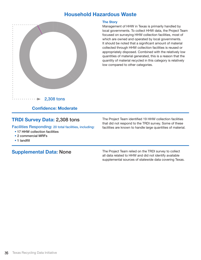## Household Hazardous Waste



## The Story

Management of HHW in Texas is primarily handled by local governments. To collect HHW data, the Project Team focused on surveying HHW collection facilities, most of which are owned and operated by local governments. It should be noted that a significant amount of material collected through HHW collection facilities is reused or appropriately disposed. Combined with the relatively low quantities of material generated, this is a reason that the quantity of material recycled in this category is relatively low compared to other categories.

## Confidence: Moderate

Facilities Responding: 20 total facilities, including:

- 17 HHW collection facilities
- 2 commercial MRFs
- 1 landfill

**TRDI Survey Data:** 2,308 tons The Project Team identified 19 HHW collection facilities that did not respond to the TRDI survey. Some of these facilities are known to handle large quantities of material.

**Supplemental Data: None** The Project Team relied on the TRDI survey to collect all data related to HHW and did not identify available supplemental sources of statewide data covering Texas.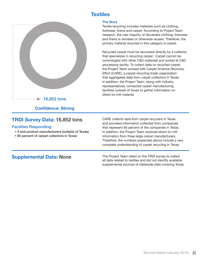## Textiles



Confidence: Strong

## **TRDI Survey Data: 16,852 tons** CARE collects data from carpet recyclers in Texas

## Facilities Responding:

- 3 end product manufacturers (outside of Texas)
- 80 percent of carpet collectors in Texas

## The Story

Textile recycling includes materials such as clothing, footwear, linens and carpet. According to Project Team research, the vast majority of discarded clothing, footwear and linens is donated or otherwise reused. Therefore, the primary material recycled in this category is carpet.

Recycled carpet must be recovered directly by a collector that specializes in recycling carpet. Carpet cannot be commingled with other C&D materials and sorted at C&D processing facility. To collect data on recycled carpet, the Project Team worked with Carpet America Recovery Effort (CARE), a carpet recycling trade organization that aggregates data from carpet collectors in Texas. In addition, the Project Team, along with industry representatives, contacted carpet manufacturing facilities outside of Texas to gather information on direct-to-mill material.

and provided information collected from companies that represent 80 percent of the companies in Texas. In addition, the Project Team received direct-to-mill information from three large carpet manufacturers. Therefore, the numbers presented above include a very complete understanding of carpet recycling in Texas.

**Supplemental Data: None** The Project Team relied on the TRDI survey to collect all data related to textiles and did not identify available supplemental sources of statewide data covering Texas.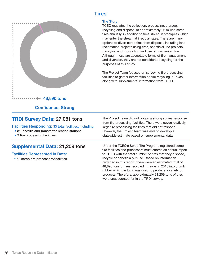## Tires



## The Story

TCEQ regulates the collection, processing, storage, recycling and disposal of approximately 22 million scrap tires annually, in addition to tires stored in stockpiles which may enter the stream at irregular rates. There are many options to divert scrap tires from disposal, including land reclamation projects using tires, beneficial use projects, pyrolysis, and production and use of tire-derived fuel. Although these are acceptable forms of tire management and diversion, they are not considered recycling for the purposes of this study.

The Project Team focused on surveying tire processing facilities to gather information on tire recycling in Texas, along with supplemental information from TCEQ.

Confidence: Strong

Facilities Responding: 33 total facilities, including:

- 31 landfills and transfer/collection stations
- 2 tire processing facilities

## Facilities Represented in Data:

• 53 scrap tire processors/facilities

**TRDI Survey Data:** 27,081 tons The Project Team did not obtain a strong survey response from tire processing facilities. There were seven relatively large tire processing facilities that did not respond. However, the Project Team was able to develop a statewide estimate based on supplemental data.

Supplemental Data: 21,209 tons Under the TCEQ's Scrap Tire Program, registered scrap tire facilities and processors must submit an annual report to TCEQ with the total number of tires that they dispose, recycle or beneficially reuse. Based on information provided in this report, there were an estimated total of 48,890 tons of tires recycled in Texas in 2013 into crumb rubber which, in turn, was used to produce a variety of products. Therefore, approximately 21,209 tons of tires were unaccounted for in the TRDI survey.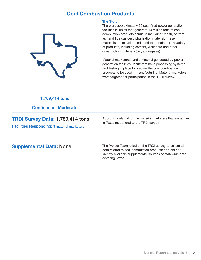## Coal Combustion Products



There are approximately 20 coal-fred power generation facilities in Texas that generate 13 million tons of coal combustion products annually, including fly ash, bottom ash and fue gas desulphurization material. These materials are recycled and used to manufacture a variety of products, including cement, wallboard and other construction materials (i.e., aggregates).

Material marketers handle material generated by power generation facilities. Marketers have processing systems and testing in place to prepare the coal combustion products to be used in manufacturing. Material marketers were targeted for participation in the TRDI survey.

## 1,789,414 tons

Confidence: Moderate

Facilities Responding: 3 material marketers

**TRDI Survey Data: 1,789,414 tons** Approximately half of the material marketers that are active in Texas responded to the TRDI survey.

**Supplemental Data: None** The Project Team relied on the TRDI survey to collect all data related to coal combustion products and did not identify available supplemental sources of statewide data covering Texas.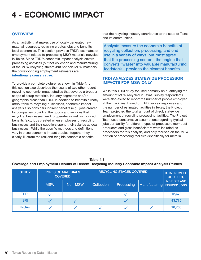# 4 - ECONOMIC IMPACT

## **OVERVIEW**

As an activity that makes use of locally generated raw material resources, recycling creates jobs and benefits local economies. This section provides TRDI's estimates of employment related to processing MSW materials recycled in Texas. Since TRDI's economic impact analysis covers processing activities (but not collection and manufacturing) of the MSW recycling stream (but not non-MSW materials) the corresponding employment estimates are intentionally conservative.

To provide a complete picture, as shown in Table 4.1, this section also describes the results of two other recent recycling economic impact studies that covered a broader scope of scrap materials, industry segments and/or geographic areas than TRDI. In addition to benefits directly attributable to recycling businesses, economic impact analysis also considers indirect benefits (e.g., jobs created by companies providing the goods and services that recycling businesses need to operate) as well as induced benefits (e.g., jobs created when employees of recycling businesses and their suppliers spend their salaries at local businesses). While the specific methods and definitions vary in these economic impact studies, together they clearly illustrate the real and tangible economic benefits

that the recycling industry contributes to the state of Texas and its communities.

Analysts measure the economic benefits of recycling collection, processing, and end use in a variety of ways, but most agree that the processing sector – the engine that converts "waste" into valuable manufacturing feedstock – provides the clearest benefits.

## TRDI ANALYZES STATEWIDE PROCESSOR IMPACTS FOR MSW ONLY

While this TRDI study focused primarily on quantifying the amount of MSW recycled in Texas, survey respondents were also asked to report the number of people employed at their facilities. Based on TRDI survey responses and the number of estimated facilities in Texas, the Project Team projected the total amount of direct, statewide employment at recycling processing facilities. The Project Team used conservative assumptions regarding typical jobs per facility for different types of processors (compost producers and glass beneficiators were included as processors for this analysis) and only focused on the MSW portion of processing facilities (specifically for metals).

| <b>STUDY</b> | <b>TYPES OF MATERIALS</b><br><b>COVERED</b> |         | <b>RECYCLING STAGES COVERED</b> |            |                              | <b>TOTAL NUMBER</b><br>OF DIRECT, |
|--------------|---------------------------------------------|---------|---------------------------------|------------|------------------------------|-----------------------------------|
|              | <b>MSW</b>                                  | Non-MSW | Collection                      | Processing | Manufacturing   INDUCED JOBS | <b>INDIRECT AND</b>               |
| <b>TRDI</b>  |                                             |         |                                 |            |                              | 12,678                            |
| <b>ISRI</b>  |                                             |         |                                 |            |                              | 43,710                            |
| H-GAs        |                                             |         |                                 |            |                              | 16,766                            |

## Table 4.1 Coverage and Employment Results of Recent Recycling Industry Economic Impact Analysis Studies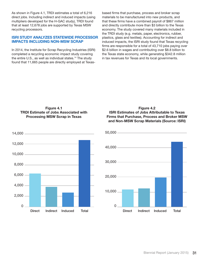As shown in Figure 4.1, TRDI estimates a total of 6,216 direct jobs. Including indirect and induced impacts (using multipliers developed for the H-GAC study), TRDI found that at least 12,678 jobs are supported by Texas MSW recycling processors.

## ISRI STUDY ANALYZES STATEWIDE PROCESSOR IMPACTS INCLUDING NON-MSW SCRAP

In 2014, the Institute for Scrap Recycling Industries (ISRI) completed a recycling economic impact study covering the entire U.S., as well as individual states.<sup>14</sup> The study found that 11,665 people are directly employed at Texas-

based firms that purchase, process and broker scrap materials to be manufactured into new products, and that these firms have a combined payroll of \$867 million and directly contribute more than \$3 billion to the Texas economy. The study covered many materials included in the TRDI study (e.g. metals, paper, electronics, rubber, plastics, glass and textiles). Accounting for indirect and induced impacts, the ISRI study found that Texas recycling frms are responsible for a total of 43,710 jobs paying over \$2.6 billion in wages and contributing over \$8.8 billion to the Texas state economy, while generating \$342.8 million in tax revenues for Texas and its local governments.

Figure 4.1 TRDI Estimate of Jobs Associated with Processing MSW Scrap in Texas





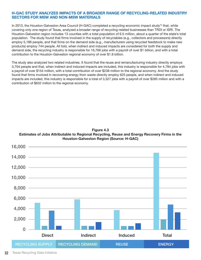## H-GAC STUDY ANALYZES IMPACTS OF A BROADER RANGE OF RECYCLING-RELATED INDUSTRY SECTORS FOR MSW AND NON-MSW MATERIALS

In 2013, the Houston-Galveston Area Council (H-GAC) completed a recycling economic impact study<sup>15</sup> that, while covering only one region of Texas, analyzed a broader range of recycling-related businesses than TRDI or ISRI. The Houston-Galveston region includes 13 counties with a total population of 6.5 million, about a quarter of the state's total population. The study found that frms involved in the supply of recyclables (e.g., collectors and processors) directly employ 5,186 people, and that frms on the demand side (e.g., manufacturers using recycled feedstock to make new products) employ 744 people. All told, when indirect and induced impacts are considered for both the supply and demand side, the recycling industry is responsible for 16,766 jobs with a payroll of over \$1 billion, and with a total contribution to the Houston-Galveston regional economy of over \$1.8 billion.

The study also analyzed two related industries. It found that the reuse and remanufacturing industry directly employs 3,704 people and that, when indirect and induced impacts are included, this industry is responsible for 4,784 jobs with a payroll of over \$154 million, with a total contribution of over \$238 million to the regional economy. And the study found that frms involved in recovering energy from waste directly employ 625 people, and when indirect and induced impacts are included, this industry is responsible for a total of 3,327 jobs with a payroll of over \$285 million and with a contribution of \$632 million to the regional economy.

## Figure 4.3 Estimates of Jobs Attributable to Regional Recycling, Reuse and Energy Recovery Firms in the Houston-Galveston Region (Source: H-GAC)

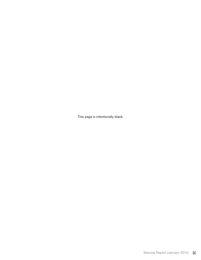This page is intentionally blank.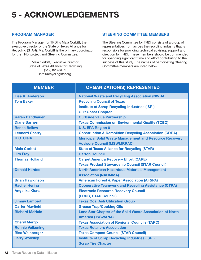# 5 - ACKNOWLEDGEMENTS

## PROGRAM MANAGER

The Program Manager for TRDI is Maia Corbitt, the executive director of the State of Texas Alliance for Recycling (STAR). Ms. Corbitt is the primary coordinator for the TRDI project and Steering Committee.

> Maia Corbitt, Executive Director State of Texas Alliance for Recycling (512) 828-6409 info@recyclingstar.org

## STEERING COMMITTEE MEMBERS

The Steering Committee for TRDI consists of a group of representatives from across the recycling industry that is responsible for providing technical advising, support and direction for TRDI. These members should be commended for spending significant time and effort contributing to the success of this study. The names of participating Steering Committee members are listed below.

| <b>MEMBER</b>           | <b>ORGANIZATION(S) REPRESENTED</b>                                                         |
|-------------------------|--------------------------------------------------------------------------------------------|
| <b>Lisa K. Anderson</b> | <b>National Waste and Recycling Association (NWRA)</b>                                     |
| <b>Tom Baker</b>        | <b>Recycling Council of Texas</b><br><b>Institute of Scrap Recycling Industries (ISRI)</b> |
|                         | <b>Gulf Coast Chapter</b>                                                                  |
| <b>Karen Bandhauer</b>  | <b>Curbside Value Partnership</b>                                                          |
| <b>Diane Barnes</b>     | <b>Texas Commission on Environmental Quality (TCEQ)</b>                                    |
| <b>Renee Bellew</b>     | <b>U.S. EPA Region 6</b>                                                                   |
| <b>Leonard Cherry</b>   | <b>Construction &amp; Demolition Recycling Association (CDRA)</b>                          |
| <b>H.C. Clark</b>       | <b>Municipal Solid Waste Management and Resource Recovery</b>                              |
|                         | <b>Advisory Council (MSWMRRAC)</b>                                                         |
| <b>Maia Corbitt</b>     | <b>State of Texas Alliance for Recycling (STAR)</b>                                        |
| <b>Jim Frey</b>         | <b>Carton Council</b>                                                                      |
| <b>Thomas Holland</b>   | <b>Carpet America Recovery Effort (CARE)</b>                                               |
|                         | <b>Texas Product Stewardship Council (STAR Council)</b>                                    |
| <b>Donald Hardee</b>    | <b>North American Hazardous Materials Management</b>                                       |
|                         | <b>Association (NAHMMA)</b>                                                                |
| <b>Brian Hawkinson</b>  | <b>American Forest &amp; Paper Association (AF&amp;PA)</b>                                 |
| <b>Rachel Hering</b>    | <b>Cooperative Teamwork and Recycling Assistance (CTRA)</b>                                |
| <b>Angelika Kluna</b>   | <b>Electronic Resource Recovery Council</b>                                                |
|                         | (ERRC, STAR Council)                                                                       |
| <b>Jimmy Lambert</b>    | <b>Texas Coal Ash Utilization Group</b>                                                    |
| <b>Carter Mayfield</b>  | <b>Grease Trap/Cooking Oils</b>                                                            |
| <b>Richard McHale</b>   | Lone Star Chapter of the Solid Waste Association of North                                  |
|                         | <b>America (TxSWANA)</b>                                                                   |
| <b>Cheryl Mergo</b>     | <b>Texas Association of Regional Councils (TARC)</b>                                       |
| <b>Ronnie Volkening</b> | <b>Texas Retailers Association</b>                                                         |
| <b>Risa Weinberger</b>  | <b>Texas Compost Council (STAR Council)</b>                                                |
| <b>Jerry Woosley</b>    | <b>Institute of Scrap Recycling Industries (ISRI)</b>                                      |
|                         | <b>Scrap Tire Chapter</b>                                                                  |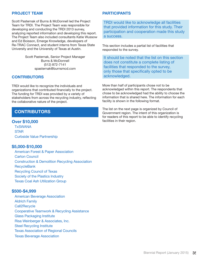## PROJECT TEAM

Scott Pasternak of Burns & McDonnell led the Project Team for TRDI. The Project Team was responsible for developing and conducting the TRDI 2013 survey, analyzing reported information and developing this report. The Project Team also included consultants Katie Wussow and Ed Boisson, Emerge Knowledge, developers of Re-TRAC Connect, and student interns from Texas State University and the University of Texas at Austin.

> Scott Pasternak, Senior Project Manager Burns & McDonnell (512) 872-7141 spasternak@burnsmcd.com

## **CONTRIBUTORS**

TRDI would like to recognize the individuals and organizations that contributed fnancially to the project. The funding for TRDI was provided by a variety of stakeholders from across the recycling industry, refecting the collaborative nature of the project.

## **CONTRIBUTORS**

## Over \$10,000

**TxSWANA STAR** Curbside Value Partnership

## \$5,000-\$10,000

 American Forest & Paper Association Carton Council Construction & Demolition Recycling Association **RecycleBank**  Recycling Council of Texas Society of the Plastics Industry Texas Coal Ash Utilization Group

## \$500-\$4,999

 American Beverage Association Aldrich Family Call2Recycle Cooperative Teamwork & Recycling Assistance Glass Packaging Institute Risa Weinberger & Associates, Inc. Steel Recycling Institute Texas Association of Regional Councils Texas Beverage Association

## PARTICIPANTS

TRDI would like to acknowledge all facilities that provided information for this study. Their participation and cooperation made this study a success.

This section includes a partial list of facilities that responded to the survey.

It should be noted that the list on this section does not constitute a complete listing of facilities that responded to the survey, only those that specifically opted to be acknowledged.

More than half of participants chose not to be acknowledged within this report. The respondents that chose to be acknowledged had the ability to choose the information that is shared here. The information for each facility is shown in the following format.

The list on the next page is organized by Council of Government region. The intent of this organization is for readers of this report to be able to identify recycling facilities in their region.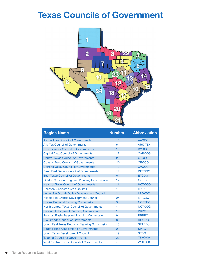# Texas Councils of Government



| <b>Region Name</b>                                  | <b>Number</b>  | <b>Abbreviation</b> |
|-----------------------------------------------------|----------------|---------------------|
| <b>Alamo Area Council of Governments</b>            | 18             | <b>AACOG</b>        |
| <b>Ark-Tex Council of Governments</b>               | 5              | <b>ARK-TEX</b>      |
| <b>Brazos Valley Council of Governments</b>         | 13             | <b>BVCOG</b>        |
| <b>Capital Area Council of Governments</b>          | 12             | <b>CAPCOG</b>       |
| <b>Central Texas Council of Governments</b>         | 23             | <b>CTCOG</b>        |
| <b>Coastal Bend Council of Governments</b>          | 20             | <b>CBCOG</b>        |
| <b>Concho Valley Council of Governments</b>         | 10             | <b>CVCOG</b>        |
| Deep East Texas Council of Governments              | 14             | <b>DETCOG</b>       |
| <b>East Texas Council of Governments</b>            | 6              | <b>ETCOG</b>        |
| <b>Golden Crescent Regional Planning Commission</b> | 17             | <b>GCRPC</b>        |
| <b>Heart of Texas Council of Governments</b>        | 11             | <b>HOTCOG</b>       |
| <b>Houston-Galveston Area Council</b>               | 16             | <b>H-GAC</b>        |
| Lower Rio Grande Valley Development Council         | 21             | <b>LRGVDC</b>       |
| Middle Rio Grande Development Council               | 24             | <b>MRGDC</b>        |
| <b>Nortex Regional Planning Commission</b>          | 3              | <b>NORTEX</b>       |
| North Central Texas Council of Governments          | 4              | <b>NCTCOG</b>       |
| <b>Panhandle Regional Planning Commission</b>       | 1              | <b>PRPC</b>         |
| Permian Basin Regional Planning Commission          | 9              | <b>PBRPC</b>        |
| <b>Rio Grande Council of Governments</b>            | 8              | <b>RGCOG</b>        |
| South East Texas Regional Planning Commission       | 15             | <b>SETRPC</b>       |
| <b>South Plains Association of Governments</b>      | 2              | <b>SPAG</b>         |
| South Texas Development Council                     | 19             | <b>STDC</b>         |
| <b>Texoma Council of Governments</b>                | 22             | <b>TEXOMA</b>       |
| <b>West Central Texas Council of Governments</b>    | $\overline{7}$ | <b>WCTCOG</b>       |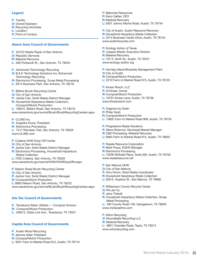### Legend

- **F:** Facility
- **O:** Owner/Operator
- **R:** Recycling Activities
- L: Location
- P: Point of Contact

### Alamo Area Council of Governments

- F: ACCO Waste Paper of San Antonio
- **O:** Republic Services
- **R:** Material Recovery
- L: 400 Probandt St., San Antonio, TX 78204
- **F:** Advanced Technology Recycling
- O: B & K Technology Solutions Inc./Advanced Technology Recycling
- R: Electronics Processing, Scrap Metal Processing
- L: 5914 Business Park, San Antonio, TX 78218
- **F: Bitters Brush Recycling Center**
- O: City of San Antonio
- P: Jackie Carr, Solid Waste District Manager
- **R:** Household Hazardous Waste Collection, Compost/Mulch Production
- L: 1800 E. Bitters Road, San Antonio, TX 78216
- www.sanantonio.gov/swmd/Brush/BrushRecyclingCenters.aspx
- F: CLi360 Inc.
- P: Angelika Kluna, President
- **R:** Electronics Processing
- L: 7417 Reindeer Trail, San Antonio, TX 78328 www.CLi360.com
- F: Culebra HHW Drop-Off Center
- O: City of San Antonio
- P: Jackie Carr, Solid Waste District Manager
- **R:** Electronics Processing, Household Hazardous Waste Collection
- L: 7030 Culebra, San Antonio, TX 78328
- www.sanantonio.gov/swmd/HHW/HHWDropOffs.aspx
- F: Nelson Road Brush Recycling Center
- O: City of San Antonio
- P: Jackie Carr, Solid Waste District Manager
- **R:** Compost/Mulch Production
- L: 8963 Nelson Road, San Antonio, TX 78252
- www.sanantonio.gov/swmd/Brush/BrushRecyclingCenters.aspx

## Ark-Tex Council of Governments

- F: Texarkana Water Utilities Compost Division
- R: Compost/Mulch Production
- L: 4000 S. State Line Ave., Texarkana, TX 75501

## Capital Area Council of Governments

- F: Austin Wood Recycling
- P: Jerome Alder, President
- **R:** Compost/Mulch Production
- L: 9201 Farm to Market Road 812, Austin, TX 78719
- F: Balcones Resources
- P: Kerry Getter, CEO
- **R:** Material Recovery
- L: 9301 Johnny Morris Road, Austin, TX 78744
- **F:** City of Austin, Austin Resource Recovery **R:** Household Hazardous Waste Collection L: 2514 Business Center Drive, Austin, TX 78744 www.austinrecycles.com
- **F:** Ecology Action of Texas
- P: Joaquin Mariel, Executive Director
- **R:** Material Recovery
- L: 707 E. Ninth St., Austin, TX 78701 www.ecology-action.org
- **F: Hornsby Bend Biosolids Management Plant**
- **O:** City of Austin
- R: Compost/Mulch Production
- L: 2210 Farm to Market Road 973, Austin, TX 78725
- F: Kinser Ranch, LLC
- P: Al Kinser, Owner
- R: Compost/Mulch Production
- L: 10701 Kinser Lane, Austin, TX 78736
- www.Kinserranch.com
- **F:** Organics by Gosh
- **P: Philip Gosh**
- R: Compost/Mulch Production
- L: 13602 Farm to Market Road 969, Austin, TX 78724
- **F: Progressive Waste Solutions**
- P: Steve Shannon, Municipal Market Manager
- **R: C&D Processing, Material Recovery**
- L: 9904 Farm to Market Road 812, Austin, TX 78652
- **F:** Resale Resource Corporation
- P: Mark Praus, EQHS Manager
- **R:** Electronics Processing
- L: 10200 McKalla Place, Suite 200, Austin, TX 78758 www.resaleresource.net
- F: San Marcos HHW
- **O:** City of San Marcos
- P: Amy Kirwin, Solid Waste Coordinator
- **R:** Household Hazardous Waste Collection
- L: 630 E. Hopkins St., San Marcos, TX 78666
- F: Williamson County Recycle Center
- O: PA-Jer Co.
- P: Jerry Tidwell
- **R:** Household Hazardous Waste Collection, Scrap Metal Processing
- L: 495 County Road 156, Georgetown, TX 78626 www.mytexashhw.com
- **F:** Wilco Recycling
- **O:** Roundtable Recycling LLC
- **R:** Material Recovery
- L: 9801 Chandler Road, Taylor, TX 76574 www.wilcorecycling.com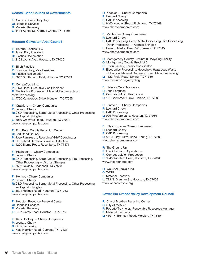### Coastal Bend Council of Governments

- F: Corpus Christi Recyclery
- **O:** Republic Services
- **R:** Material Recovery
- L: 4414 Agnes St., Corpus Christi, TX 78405

### Houston-Galveston Area Council

- **F:** Reterra Plastics LLC
- P: Jason Ball, President
- **R: Plastics Reclamation**
- L: 2103 Lyons Ave., Houston, TX 77020
- **F:** Birch Plastics
- P: Brandon Clary, Vice President
- **R: Plastics Reclamation**
- L: 5957 South Loop East, Houston, TX 77033
- F: CompuCycle Inc.
- P: Clive Hess, Executive Vice President
- R: Electronics Processing, Material Recovery, Scrap Metal Processing
- L: 7700 Kempwood Drive, Houston, TX 77055
- F: Crawford Cherry Companies
- **P:** Leonard Cherry
- R: C&D Processing, Scrap Metal Processing, Other Processing — Asphalt Shingles
- L: 6019 Crawford Road, Houston, TX 77041 www.cherrycompanies.com
- **F:** Fort Bend County Recycling Center
- **O:** Fort Bend County
- P: Jose Ramirez Jr., Recycling/HHW Coordinator
- R: Household Hazardous Waste Collection
- L: 1200 Blume Road, Rosenberg, TX 77471
- F: Hitchcock Cherry Companies
- P: Leonard Cherry
- R: C&D Processing, Scrap Metal Processing, Tire Processing, Other Processing — Asphalt Shingles
- L: 5502 Texas 6, Hitchcock, TX 77563

www.cherrycompanies.com

- F: Holmes Cherry Companies
- P: Leonard Cherry
- R: C&D Processing, Scrap Metal Processing, Other Processing — Asphalt Shingles

L: 4601 Holmes Road, Houston, TX 77033 www.cherrycompanies.com

- **F:** Houston Resource Renewal Center
- **O:** Republic Services
- **R:** Material Recovery
- L: 5757 Oates Road, Houston, TX 77078
- **F:** Katy Hockley Cherry Companies
- **P:** Leonard Cherry
- **R: C&D Processing**
- L: Katy Hockley Road, Cypress, TX 77433 www.cherrycompanies.com
- F: Koeblen Cherry Companies P: Leonard Cherry **R: C&D Processing** L: 6400 Koeblen Road, Richmond, TX 77469 www.cherrycompanies.com
- F: McHard Cherry Companies
- P: Leonard Cherry
- R: C&D Processing, Scrap Metal Processing, Tire Processing, Other Processing — Asphalt Shingles
- L: Farm to Market Road 521, Fresno, TX 77545 www.cherrycompanies.com
- **F:** Montgomery County Precinct 3 Recycling Facility
- **O:** Montgomery County Precinct 3
- P: Justin Fausek, Facility Coordinator
- R: Electronics Processing, Household Hazardous Waste Collection, Material Recovery, Scrap Metal Processing
- L: 1122 Pruitt Road, Spring, TX 77380
- www.precinct3.org/recycling
- F: Nature's Way Resources
- P: John Ferguson
- R: Compost/Mulch Production
- L: 101 Sherbrook Circle, Conroe, TX 77385
- F: Pinafore Cherry Companies
- P: Leonard Cherry
- **R: C&D Processing**
- L: 909 Pinafore Lane, Houston, TX 77039
- www.cherrycompanies.com
- F: Riley Fuzzel Cherry Companies
- P: Leonard Cherry
- **R: C&D Processing**
- L: 5810 Riley Fuzzel Road, Spring, TX 77386 www.cherrycompanies.com
- **F:** The Ground Up
- P: Luis Chamorro, Operations
- **R:** Compost/Mulch Production
- L: 9945 Windfern Road, Houston, TX 77064 www.thegroundup.com
- F: We CAN Recycle Inc.
- O: WCRI
- **R:** Material Recoverv
- L: 723 N. Drennan St., Houston, TX 77003
- www.wecanrecycle.org

### Lower Rio Grande Valley Development Council

- F: City of McAllen Recycling Center
- **O:** City of McAllen
- P: Roberto Trevino Jr., Renewable Resources Manager
- **R:** Material Recovery
- L: 4101 N. Bentsen Road, McAllen, TX 78504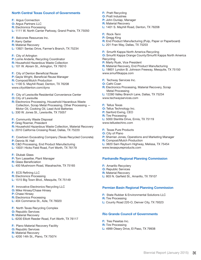### North Central Texas Council of Governments

- **F:** Argus Connection
- O: Argus Partners LLC
- **R:** Electronics Processing
- L: 1111 W. North Carrier Parkway, Grand Prairie, TX 75050
- **F:** Balcones Resources Inc.
- P: Kerry Getter
- **R:** Material Recovery
- L: 13921 Senlac Drive, Farmer's Branch, TX 75234
- **F:** City of Arlington
- P: Lorrie Anderle, Recycling Coordinator
- **R:** Household Hazardous Waste Collection
- L: 101 W. Abram St., Arlington, TX 76010
- **F:** City of Denton Beneficial Reuse
- P: Gayla Wright, Beneficial Reuse Manager
- **R:** Compost/Mulch Production
- L: 1100 S. Mayhill Road, Denton, TX 76208 www.cityofdenton.com/dyno
- 
- F: City of Lewisville Residential Convenience Center
- O: City of Lewisville
- R: Electronics Processing, Household Hazardous Waste Collection, Scrap Metal Processing, Other Processing — Motor Oil, Cooking Oil, Lead Acid Batteries
- L: 330 W. Jones St., Lewisville, TX 75057
- F: Community Waste Disposal
- P: Greg Roemer, President
- **R:** Household Hazardous Waste Collection, Material Recovery
- L: 2010 California Crossing Road, Dallas, TX 75220
- F: Cowtown Excavating Company (Texas Recycled Concrete) P: Dennis W. Hall
- R: C&D Processing, End Product Manufacturing
- L: 10031 Hicks Field Road, Fort Worth, TX 76179
- F: Dlubak Glass
- P: Tom Lassetter, Plant Manager
- **R:** Glass Beneficiation
- L: 400 Mushroom Road, Waxahachie, TX 75165
- F: ECS Refining LLC
- **R:** Electronics Processing
- L: 1515 Big Town Blvd., Mesquite, TX 75149
- **F:** Innovative Electronics Recycling LLC
- **O:** Mike Hinsey/Chase Hinsey
- **P:** Chase Hinsey
- **R:** Electronics Processing
- L: 404 Commerce St., Azle, TX 76020
- **F:** North Texas Recycling Complex
- **O:** Republic Services
- **R:** Material Recovery
- L: 6200 Elliott Reeder Road, Fort Worth, TX 76117
- **F:** Plano Material Recovery Facility
- **O: Republic Services**
- **R:** Material Recovery
- L: 4200 14th St., Plano, TX 75074
- **F:** Pratt Recycling
- **O: Pratt Industries**
- P: John Dunlap, Manager
- **R:** Material Recovery
- L: 1401 S. Mayhill Road, Denton, TX 76208
- F: Rock-Tenn
- **P:** Gregg King
- R: End Product Manufacturing (Pulp, Paper or Paperboard)
- L: 201 Fran Way, Dallas, TX 75203
- **F:** Smurfit Kappa North America Recycling
- **O:** Smurfit Kappa Orange County/Smurfit Kappa North America **Recycling**
- P: Marty Rusk, Vice President
- **R:** Material Recovery, End Product Manufacturing
- L: 18601 Lyndon B. Johnson Freeway, Mesquite, TX 75150 www.smurfitkappa.com
- F: Techway Services Inc.
- **O:** Cathi Coan
- **R:** Electronics Processing, Material Recovery, Scrap Metal Processing
- L: 12280 Valley Branch Lane, Dallas, TX 75234 www.techwayservices.com
- F: Tellus Texas
- O: Tellus Technology Inc.
- P: Sanford Ewing, CEO
- **R:** Tire Processing
- L: 5000 Sterilite Drive, Ennis, TX 75119 www.tellustechinc.com
- **F:** Texas Pure Products
- **O:** City of Plano
- **P:** Sherrian Jones, Operations and Marketing Manager
- R: Compost/Mulch Production
- L: 3820 Sam Rayburn Highway, Melissa, TX 75454 www.texaspureproducts.com

### Panhandle Regional Planning Commission

- **F:** Amarillo Recyclery
- **O:** Republic Services
- **R:** Material Recovery
- L: 803 N. Garfield St., Amarillo, TX 79107

### Permian Basin Regional Planning Commission

- **F:** State Rubber & Environmental Solutions LLC
- **R:** Tire Processing
- L: County Road 220-O, Denver City, TX 79323

### Rio Grande Council of Governments

- F: Tres Pesetas Inc.
- **R:** Tire Processing
- L: 4999 Oleary Drive, El Paso, TX 79938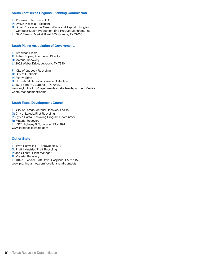### South East Texas Regional Planning Commission

- F: Plessala Enterprises LLC
- P: Evelyn Plessala, President
- R: Other Processing Green Waste and Asphalt Shingles, Compost/Mulch Production, End Product Manufacturing
- L: 5846 Farm to Market Road 105, Orange, TX 77630

### South Plains Association of Governments

- F: American Fibers
- P: Ruben Lopez, Purchasing Director
- **R:** Material Recovery
- L: 2002 Weber Drive, Lubbock, TX 79404

F: City of Lubbock Recycling **O:** City of Lubbock P: Penny Morin R: Household Hazardous Waste Collection L: 1631 84th St., Lubbock, TX 79423 www.mylubbock.us/departmental-websites/departments/solidwaste-management/home

### South Texas Development Council

- F: City of Laredo Material Recovery Facility
- O: City of Laredo/First Recycling
- P: Sylvia Garza, Recycling Program Coordinator
- **R:** Material Recovery
- L: 6912 Highway 359, Laredo, TX 78044
- www.laredosolidwaste.com

### Out of State

- F: Pratt Recycling Shreveport MRF **O: Pratt Industries/Pratt Recycling** P: Joe Cliburn, Plant Manager **R:** Material Recovery
- L: 10451 Richard Pratt Drive, Caspiana, LA 71115 www.prattindustries.com/locations-and-contacts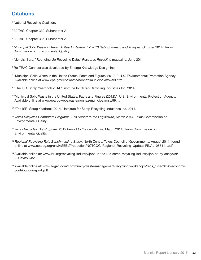## **Citations**

- <sup>1</sup> National Recycling Coalition.
- 2 30 TAC, Chapter 330, Subchapter A.
- 3 30 TAC, Chapter 335, Subchapter A.
- <sup>4</sup> Municipal Solid Waste in Texas: A Year In Review, FY 2013 Data Summary and Analysis, October 2014, Texas Commission on Environmental Quality.
- <sup>5</sup> Nichols, Sara, "Rounding Up Recycling Data," *Resource Recycling* magazine, June 2014.
- <sup>6</sup> Re-TRAC Connect was developed by Emerge Knowledge Design Inc.
- 7 "Municipal Solid Waste in the United States: Facts and Figures (2012)." U.S. Environmental Protection Agency Available online at www.epa.gov/epawaste/nonhaz/municipal/msw99.htm.
- <sup>8</sup> "The ISRI Scrap Yearbook 2014." Institute for Scrap Recycling Industries Inc. 2014.
- 9 "Municipal Solid Waste in the United States: Facts and Figures (2012)." U.S. Environmental Protection Agency. Available online at www.epa.gov/epawaste/nonhaz/municipal/msw99.htm.
- 10 "The ISRI Scrap Yearbook 2014," Institute for Scrap Recycling Industries Inc. 2014.
- <sup>11</sup> Texas Recycles Computers Program: 2013 Report to the Legislature, March 2014, Texas Commission on Environmental Quality.
- $12$  Texas Recycles TVs Program: 2013 Report to the Legislature, March 2014, Texas Commission on Environmental Quality.
- <sup>13</sup> Regional Recycling Rate Benchmarking Study, North Central Texas Council of Governments, August 2011, found online at www.nctcog.org/envir/SEELT/reduction/NCTCOG\_Regional\_Recycling\_Update\_FINAL\_083111.pdf.
- <sup>14</sup> Available online at: www.isri.org/recycling-industry/jobs-in-the-u-s-scrap-recycling-industry/job-study-analysis# VJCsVns3v3Z.
- <sup>15</sup> Available online at: www.h-gac.com/community/waste/management/recycling/workshops/recs\_h-gac%20-economic contribution-report.pdf.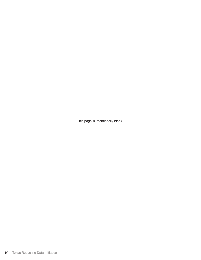This page is intentionally blank.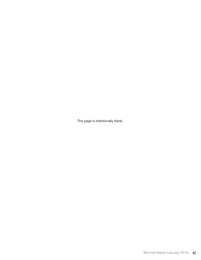This page is intentionally blank.